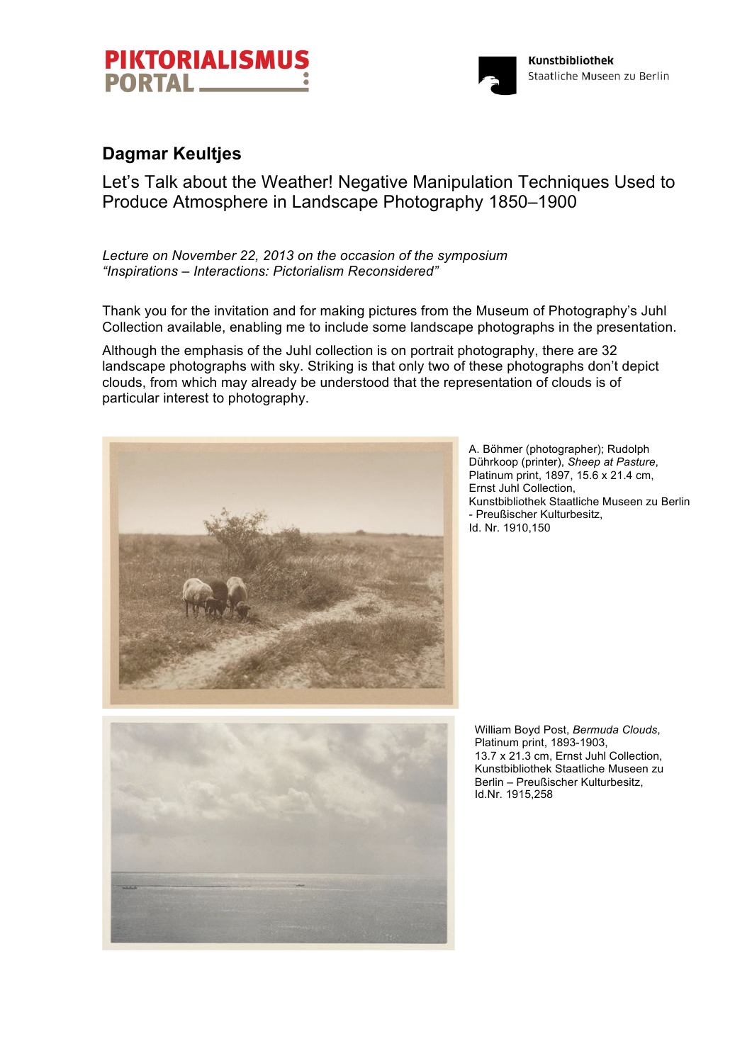



## **Dagmar Keultjes**

Let's Talk about the Weather! Negative Manipulation Techniques Used to Produce Atmosphere in Landscape Photography 1850–1900

*Lecture on November 22, 2013 on the occasion of the symposium "Inspirations – Interactions: Pictorialism Reconsidered"*

Thank you for the invitation and for making pictures from the Museum of Photography's Juhl Collection available, enabling me to include some landscape photographs in the presentation.

Although the emphasis of the Juhl collection is on portrait photography, there are 32 landscape photographs with sky. Striking is that only two of these photographs don't depict clouds, from which may already be understood that the representation of clouds is of particular interest to photography.



A. Böhmer (photographer); Rudolph Dührkoop (printer), *Sheep at Pasture*, Platinum print, 1897, 15.6 x 21.4 cm, Ernst Juhl Collection, Kunstbibliothek Staatliche Museen zu Berlin - Preußischer Kulturbesitz, Id. Nr. 1910,150

William Boyd Post, *Bermuda Clouds*, Platinum print, 1893-1903, 13.7 x 21.3 cm, Ernst Juhl Collection, Kunstbibliothek Staatliche Museen zu Berlin – Preußischer Kulturbesitz, Id.Nr. 1915,258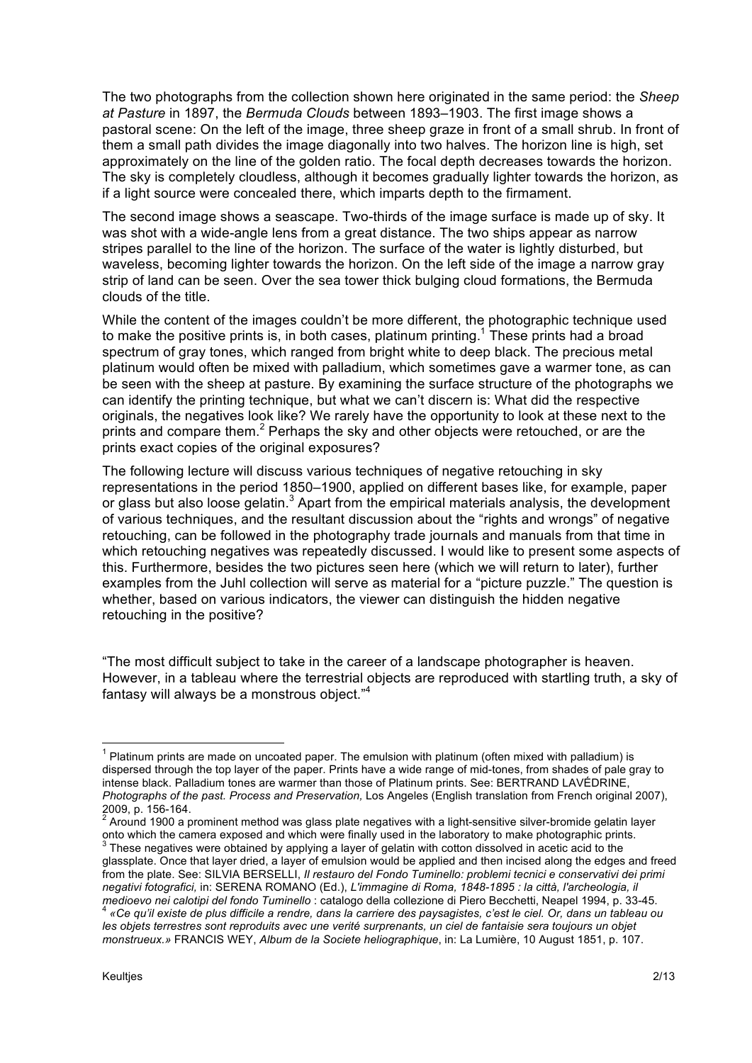The two photographs from the collection shown here originated in the same period: the *Sheep at Pasture* in 1897, the *Bermuda Clouds* between 1893–1903. The first image shows a pastoral scene: On the left of the image, three sheep graze in front of a small shrub. In front of them a small path divides the image diagonally into two halves. The horizon line is high, set approximately on the line of the golden ratio. The focal depth decreases towards the horizon. The sky is completely cloudless, although it becomes gradually lighter towards the horizon, as if a light source were concealed there, which imparts depth to the firmament.

The second image shows a seascape. Two-thirds of the image surface is made up of sky. It was shot with a wide-angle lens from a great distance. The two ships appear as narrow stripes parallel to the line of the horizon. The surface of the water is lightly disturbed, but waveless, becoming lighter towards the horizon. On the left side of the image a narrow gray strip of land can be seen. Over the sea tower thick bulging cloud formations, the Bermuda clouds of the title.

While the content of the images couldn't be more different, the photographic technique used to make the positive prints is, in both cases, platinum printing.<sup>1</sup> These prints had a broad spectrum of gray tones, which ranged from bright white to deep black. The precious metal platinum would often be mixed with palladium, which sometimes gave a warmer tone, as can be seen with the sheep at pasture. By examining the surface structure of the photographs we can identify the printing technique, but what we can't discern is: What did the respective originals, the negatives look like? We rarely have the opportunity to look at these next to the prints and compare them.<sup>2</sup> Perhaps the sky and other objects were retouched, or are the prints exact copies of the original exposures?

The following lecture will discuss various techniques of negative retouching in sky representations in the period 1850–1900, applied on different bases like, for example, paper or glass but also loose gelatin.<sup>3</sup> Apart from the empirical materials analysis, the development of various techniques, and the resultant discussion about the "rights and wrongs" of negative retouching, can be followed in the photography trade journals and manuals from that time in which retouching negatives was repeatedly discussed. I would like to present some aspects of this. Furthermore, besides the two pictures seen here (which we will return to later), further examples from the Juhl collection will serve as material for a "picture puzzle." The question is whether, based on various indicators, the viewer can distinguish the hidden negative retouching in the positive?

"The most difficult subject to take in the career of a landscape photographer is heaven. However, in a tableau where the terrestrial objects are reproduced with startling truth, a sky of fantasy will always be a monstrous object."<sup>4</sup>

 $<sup>1</sup>$  Platinum prints are made on uncoated paper. The emulsion with platinum (often mixed with palladium) is</sup> dispersed through the top layer of the paper. Prints have a wide range of mid-tones, from shades of pale gray to intense black. Palladium tones are warmer than those of Platinum prints. See: BERTRAND LAVÉDRINE, *Photographs of the past. Process and Preservation,* Los Angeles (English translation from French original 2007),

 $^2$  Around 1900 a prominent method was glass plate negatives with a light-sensitive silver-bromide gelatin layer onto which the camera exposed and which were finally used in the laboratory to make photographic prints.

 $3$  These negatives were obtained by applying a layer of gelatin with cotton dissolved in acetic acid to the glassplate. Once that layer dried, a layer of emulsion would be applied and then incised along the edges and freed from the plate. See: SILVIA BERSELLI, *Il restauro del Fondo Tuminello: problemi tecnici e conservativi dei primi negativi fotografici,* in: SERENA ROMANO (Ed.), *L'immagine di Roma, 1848-1895 : la città, l'archeologia, il*  medioevo nei calotipi del fondo Tuminello : catalogo della collezione di Piero Becchetti, Neapel 1994, p. 33-45.<br><sup>4</sup> «Ce qu'il existe de plus difficile a rendre, dans la carriere des paysagistes, c'est le ciel. Or, dans un

*les objets terrestres sont reproduits avec une verité surprenants, un ciel de fantaisie sera toujours un objet monstrueux.»* FRANCIS WEY, *Album de la Societe heliographique*, in: La Lumière, 10 August 1851, p. 107.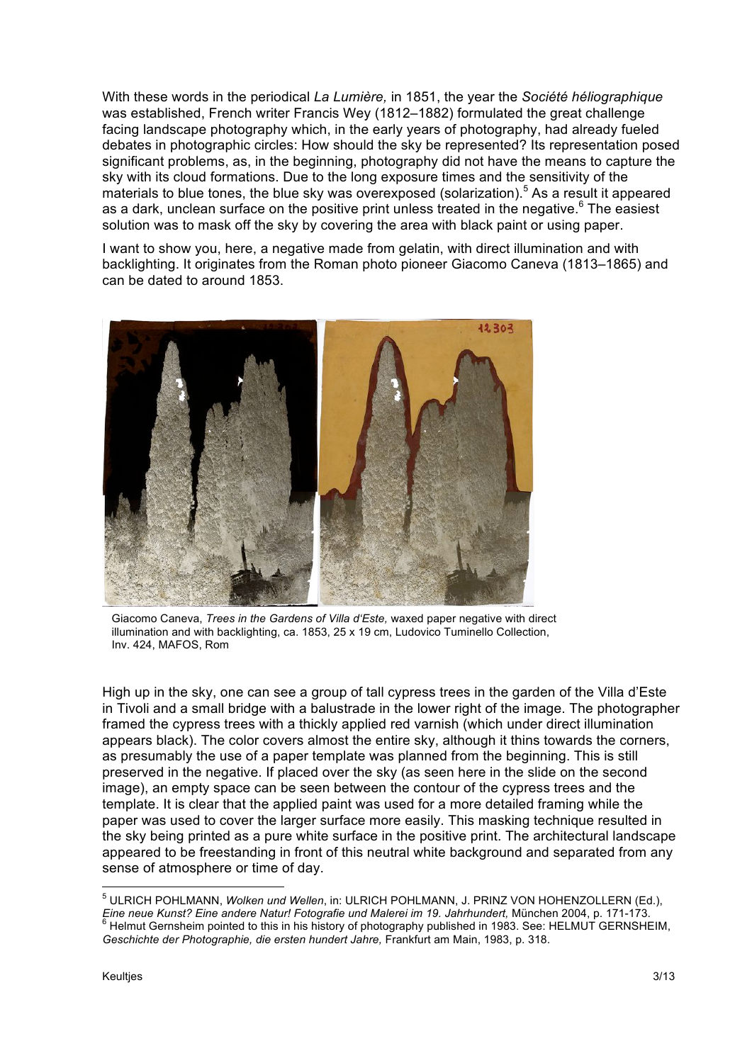With these words in the periodical *La Lumière,* in 1851, the year the *Société héliographique* was established, French writer Francis Wey (1812–1882) formulated the great challenge facing landscape photography which, in the early years of photography, had already fueled debates in photographic circles: How should the sky be represented? Its representation posed significant problems, as, in the beginning, photography did not have the means to capture the sky with its cloud formations. Due to the long exposure times and the sensitivity of the materials to blue tones, the blue sky was overexposed (solarization).<sup>5</sup> As a result it appeared as a dark, unclean surface on the positive print unless treated in the negative.<sup>6</sup> The easiest solution was to mask off the sky by covering the area with black paint or using paper.

I want to show you, here, a negative made from gelatin, with direct illumination and with backlighting. It originates from the Roman photo pioneer Giacomo Caneva (1813–1865) and can be dated to around 1853.



Giacomo Caneva, *Trees in the Gardens of Villa d'Este,* waxed paper negative with direct illumination and with backlighting, ca. 1853, 25 x 19 cm, Ludovico Tuminello Collection, Inv. 424, MAFOS, Rom

High up in the sky, one can see a group of tall cypress trees in the garden of the Villa d'Este in Tivoli and a small bridge with a balustrade in the lower right of the image. The photographer framed the cypress trees with a thickly applied red varnish (which under direct illumination appears black). The color covers almost the entire sky, although it thins towards the corners, as presumably the use of a paper template was planned from the beginning. This is still preserved in the negative. If placed over the sky (as seen here in the slide on the second image), an empty space can be seen between the contour of the cypress trees and the template. It is clear that the applied paint was used for a more detailed framing while the paper was used to cover the larger surface more easily. This masking technique resulted in the sky being printed as a pure white surface in the positive print. The architectural landscape appeared to be freestanding in front of this neutral white background and separated from any sense of atmosphere or time of day.

<sup>5</sup> ULRICH POHLMANN, *Wolken und Wellen*, in: ULRICH POHLMANN, J. PRINZ VON HOHENZOLLERN (Ed.), *Eine neue Kunst? Eine andere Natur! Fotografie und Malerei im 19. Jahrhundert, München 2004, p. 171-173.*  $\sim$  6 Helmut Gernsheim pointed to this in his history of photography published in 1983. See: HELMUT GERNSHEIM, *Geschichte der Photographie, die ersten hundert Jahre,* Frankfurt am Main, 1983, p. 318.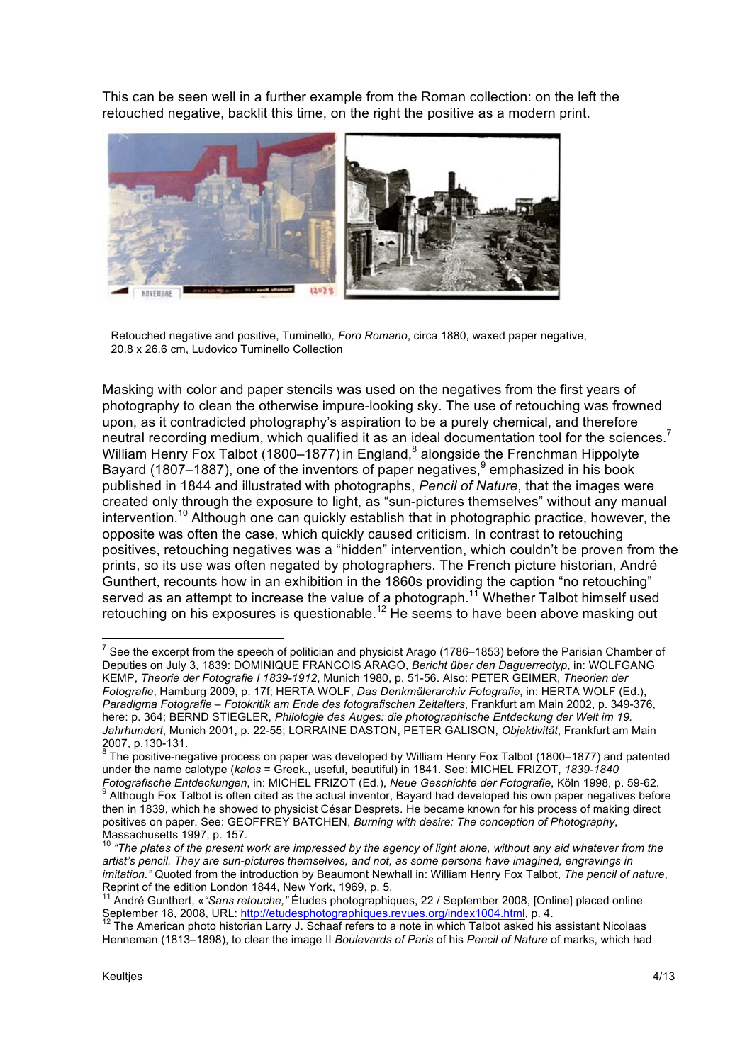This can be seen well in a further example from the Roman collection: on the left the retouched negative, backlit this time, on the right the positive as a modern print.



Retouched negative and positive, Tuminello*, Foro Romano*, circa 1880, waxed paper negative, 20.8 x 26.6 cm, Ludovico Tuminello Collection

Masking with color and paper stencils was used on the negatives from the first years of photography to clean the otherwise impure-looking sky. The use of retouching was frowned upon, as it contradicted photography's aspiration to be a purely chemical, and therefore neutral recording medium, which qualified it as an ideal documentation tool for the sciences.<sup>7</sup> William Henry Fox Talbot (1800–1877) in England,<sup>8</sup> alongside the Frenchman Hippolyte Bayard (1807–1887), one of the inventors of paper negatives,  $9$  emphasized in his book published in 1844 and illustrated with photographs, *Pencil of Nature*, that the images were created only through the exposure to light, as "sun-pictures themselves" without any manual intervention.<sup>10</sup> Although one can quickly establish that in photographic practice, however, the opposite was often the case, which quickly caused criticism. In contrast to retouching positives, retouching negatives was a "hidden" intervention, which couldn't be proven from the prints, so its use was often negated by photographers. The French picture historian, André Gunthert, recounts how in an exhibition in the 1860s providing the caption "no retouching" served as an attempt to increase the value of a photograph.<sup>11</sup> Whether Talbot himself used retouching on his exposures is questionable.<sup>12</sup> He seems to have been above masking out

<sup>&</sup>lt;sup>7</sup> See the excerpt from the speech of politician and physicist Arago (1786–1853) before the Parisian Chamber of Deputies on July 3, 1839: DOMINIQUE FRANCOIS ARAGO, *Bericht über den Daguerreotyp*, in: WOLFGANG KEMP, *Theorie der Fotografie I 1839-1912*, Munich 1980, p. 51-56. Also: PETER GEIMER, *Theorien der Fotografie*, Hamburg 2009, p. 17f; HERTA WOLF, *Das Denkmälerarchiv Fotografie*, in: HERTA WOLF (Ed.), *Paradigma Fotografie – Fotokritik am Ende des fotografischen Zeitalters*, Frankfurt am Main 2002, p. 349-376, here: p. 364; BERND STIEGLER, *Philologie des Auges: die photographische Entdeckung der Welt im 19. Jahrhundert*, Munich 2001, p. 22-55; LORRAINE DASTON, PETER GALISON, *Objektivität*, Frankfurt am Main

<sup>2007,</sup> p.130-131.<br><sup>8</sup> The positive-negative process on paper was developed by William Henry Fox Talbot (1800–1877) and patented under the name calotype (*kalos* = Greek., useful, beautiful) in 1841. See: MICHEL FRIZOT, *1839-1840*  Fotografische Entdeckungen, in: MICHEL FRIZOT (Ed.), Neue Geschichte der Fotografie, Köln 1998, p. 59-62.<br><sup>9</sup> Although Fox Talbot is often cited as the actual inventor, Bayard had developed his own paper negatives before then in 1839, which he showed to physicist César Desprets. He became known for his process of making direct positives on paper. See: GEOFFREY BATCHEN, *Burning with desire: The conception of Photography*, Massachusetts 1997, p. 157.

<sup>&</sup>lt;sup>10</sup> "The plates of the present work are impressed by the agency of light alone, without any aid whatever from the *artist's pencil. They are sun-pictures themselves, and not, as some persons have imagined, engravings in imitation."* Quoted from the introduction by Beaumont Newhall in: William Henry Fox Talbot, *The pencil of nature*, Reprint of the edition London 1844, New York, 1969, p. 5.

<sup>11</sup> André Gunthert, «*"Sans retouche,"* Études photographiques, 22 / September 2008, [Online] placed online September 18, 2008, URL: http://etudesphotographiques.revues.org/index1004.html, p. 4.<br><sup>12</sup> The American photo historian Larry J. Schaaf refers to a note in which Talbot asked his assistant Nicolaas

Henneman (1813–1898), to clear the image II *Boulevards of Paris* of his *Pencil of Nature* of marks, which had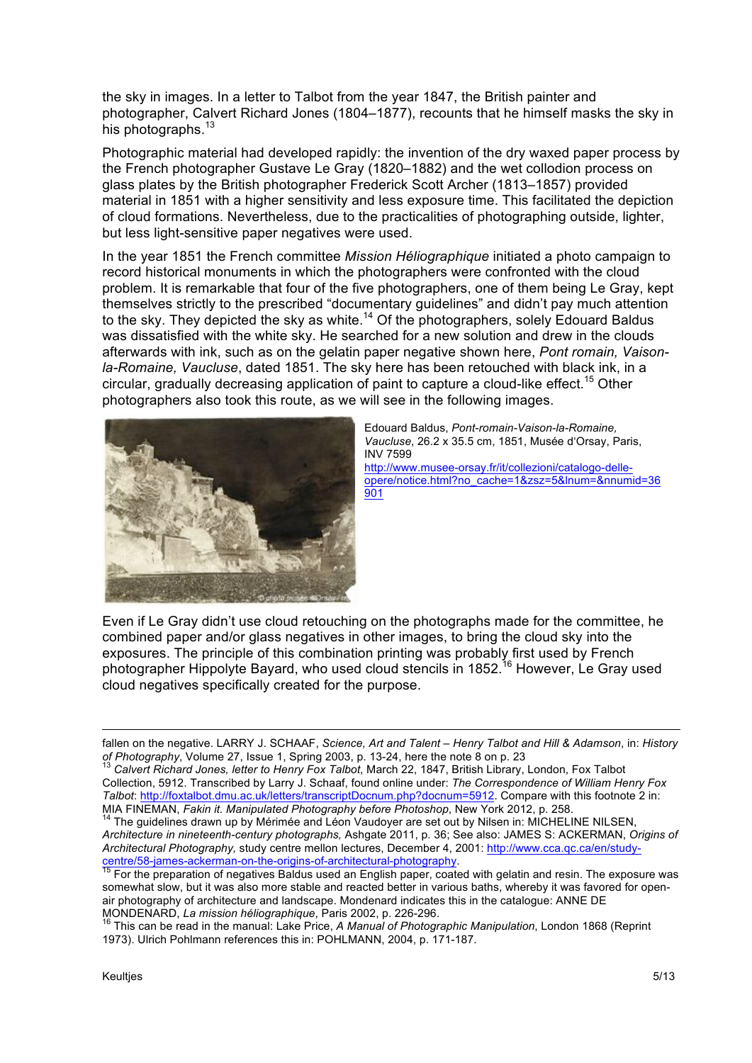the sky in images. In a letter to Talbot from the year 1847, the British painter and photographer, Calvert Richard Jones (1804–1877), recounts that he himself masks the sky in his photographs.<sup>13</sup>

Photographic material had developed rapidly: the invention of the dry waxed paper process by the French photographer Gustave Le Gray (1820–1882) and the wet collodion process on glass plates by the British photographer Frederick Scott Archer (1813–1857) provided material in 1851 with a higher sensitivity and less exposure time. This facilitated the depiction of cloud formations. Nevertheless, due to the practicalities of photographing outside, lighter, but less light-sensitive paper negatives were used.

In the year 1851 the French committee *Mission Héliographique* initiated a photo campaign to record historical monuments in which the photographers were confronted with the cloud problem. It is remarkable that four of the five photographers, one of them being Le Gray, kept themselves strictly to the prescribed "documentary guidelines" and didn't pay much attention to the sky. They depicted the sky as white.<sup>14</sup> Of the photographers, solely Edouard Baldus was dissatisfied with the white sky. He searched for a new solution and drew in the clouds afterwards with ink, such as on the gelatin paper negative shown here, *Pont romain, Vaisonla-Romaine, Vaucluse*, dated 1851. The sky here has been retouched with black ink, in a circular, gradually decreasing application of paint to capture a cloud-like effect.<sup>15</sup> Other photographers also took this route, as we will see in the following images.



Edouard Baldus, *Pont-romain-Vaison-la-Romaine, Vaucluse*, 26.2 x 35.5 cm, 1851, Musée d'Orsay, Paris, INV 7599 http://www.musee-orsay.fr/it/collezioni/catalogo-delleopere/notice.html?no\_cache=1&zsz=5&lnum=&nnumid=36 901

Even if Le Gray didn't use cloud retouching on the photographs made for the committee, he combined paper and/or glass negatives in other images, to bring the cloud sky into the exposures. The principle of this combination printing was probably first used by French photographer Hippolyte Bayard, who used cloud stencils in 1852.<sup>16</sup> However. Le Grav used cloud negatives specifically created for the purpose.

<u>.</u>

fallen on the negative. LARRY J. SCHAAF, *Science, Art and Talent – Henry Talbot and Hill & Adamson*, in: *History of Photography*, Volume 27, Issue 1, Spring 2003, p. 13-24, here the note 8 on p. 23<br><sup>13</sup> Calvert Richard Jones, letter to Henry Fox Talbot, March 22, 1847, British Library, London, Fox Talbot

Collection, 5912. Transcribed by Larry J. Schaaf, found online under: *The Correspondence of William Henry Fox Talbot*: http://foxtalbot.dmu.ac.uk/letters/transcriptDocnum.php?docnum=5912. Compare with this footnote 2 in: MIA FINEMAN, *Fakin it. Manipulated Photography before Photoshop*, New York 2012, p. 258.<br><sup>14</sup> The guidelines drawn up by Mérimée and Léon Vaudoyer are set out by Nilsen in: MICHELINE NILSEN,

*Architecture in nineteenth-century photographs,* Ashgate 2011, p. 36; See also: JAMES S: ACKERMAN, *Origins of Architectural Photography,* study centre mellon lectures, December 4, 2001: http://www.cca.qc.ca/en/studycentre/58-james-ackerman-on-the-origins-of-architectural-photography.<br><sup>15</sup> For the preparation of negatives Baldus used an English paper, coated with gelatin and resin. The exposure was

somewhat slow, but it was also more stable and reacted better in various baths, whereby it was favored for openair photography of architecture and landscape. Mondenard indicates this in the catalogue: ANNE DE

MONDENARD, *La mission héliographique*, Paris 2002, p. 226-296. <sup>16</sup> This can be read in the manual: Lake Price, *A Manual of Photographic Manipulation*, London 1868 (Reprint 1973). Ulrich Pohlmann references this in: POHLMANN, 2004, p. 171-187.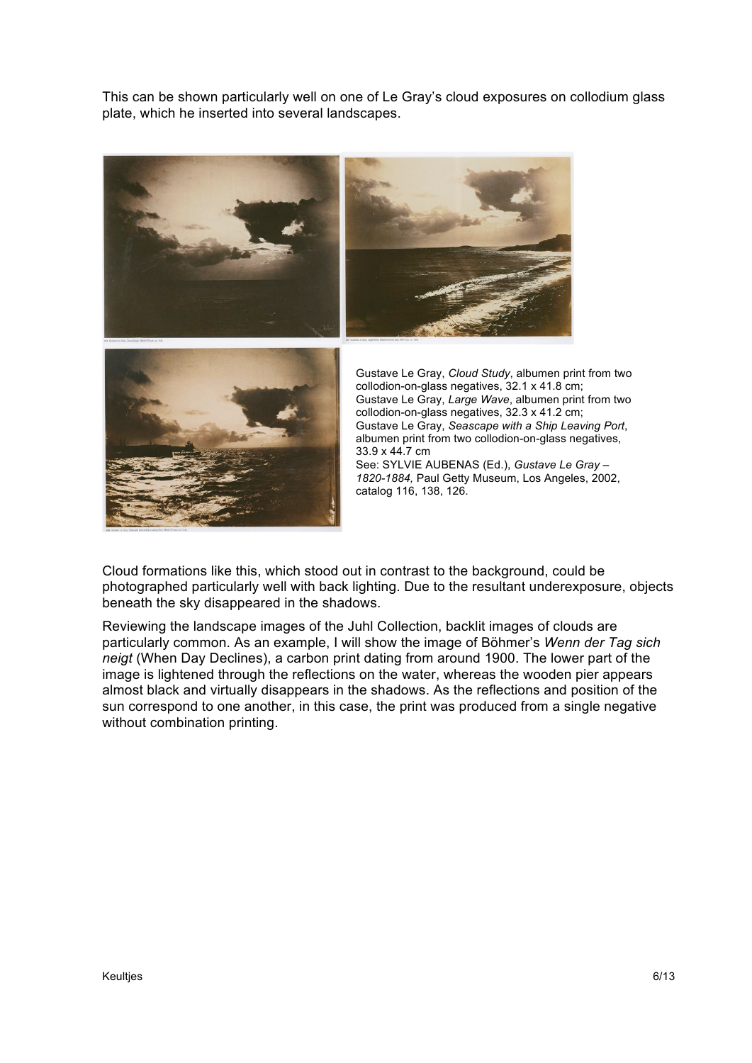This can be shown particularly well on one of Le Gray's cloud exposures on collodium glass plate, which he inserted into several landscapes.



Gustave Le Gray, *Large Wave*, albumen print from two Gustave Le Gray, *Seascape with a Ship Leaving Port*, albumen print from two collodion-on-glass negatives, 33.9 x 44.7 cm See: SYLVIE AUBENAS (Ed.), *Gustave Le Gray –*

*1820-1884,* Paul Getty Museum, Los Angeles, 2002, catalog 116, 138, 126.

Cloud formations like this, which stood out in contrast to the background, could be photographed particularly well with back lighting. Due to the resultant underexposure, objects beneath the sky disappeared in the shadows.

Reviewing the landscape images of the Juhl Collection, backlit images of clouds are particularly common. As an example, I will show the image of Böhmer's *Wenn der Tag sich neigt* (When Day Declines), a carbon print dating from around 1900. The lower part of the image is lightened through the reflections on the water, whereas the wooden pier appears almost black and virtually disappears in the shadows. As the reflections and position of the sun correspond to one another, in this case, the print was produced from a single negative without combination printing.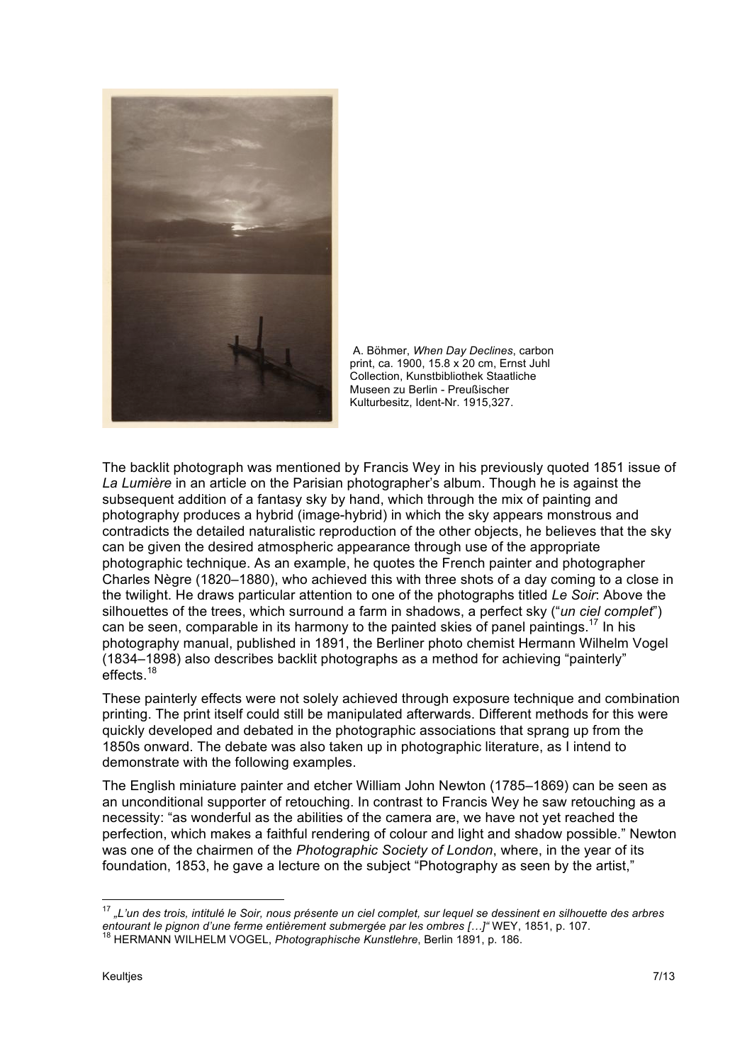

A. Böhmer, *When Day Declines*, carbon print, ca. 1900, 15.8 x 20 cm, Ernst Juhl Collection, Kunstbibliothek Staatliche Museen zu Berlin - Preußischer Kulturbesitz, Ident-Nr. 1915,327.

The backlit photograph was mentioned by Francis Wey in his previously quoted 1851 issue of *La Lumière* in an article on the Parisian photographer's album. Though he is against the subsequent addition of a fantasy sky by hand, which through the mix of painting and photography produces a hybrid (image-hybrid) in which the sky appears monstrous and contradicts the detailed naturalistic reproduction of the other objects, he believes that the sky can be given the desired atmospheric appearance through use of the appropriate photographic technique. As an example, he quotes the French painter and photographer Charles Nègre (1820–1880), who achieved this with three shots of a day coming to a close in the twilight. He draws particular attention to one of the photographs titled *Le Soir*: Above the silhouettes of the trees, which surround a farm in shadows, a perfect sky ("*un ciel complet*") can be seen, comparable in its harmony to the painted skies of panel paintings.<sup>17</sup> In his photography manual, published in 1891, the Berliner photo chemist Hermann Wilhelm Vogel (1834–1898) also describes backlit photographs as a method for achieving "painterly" effects.<sup>18</sup>

These painterly effects were not solely achieved through exposure technique and combination printing. The print itself could still be manipulated afterwards. Different methods for this were quickly developed and debated in the photographic associations that sprang up from the 1850s onward. The debate was also taken up in photographic literature, as I intend to demonstrate with the following examples.

The English miniature painter and etcher William John Newton (1785–1869) can be seen as an unconditional supporter of retouching. In contrast to Francis Wey he saw retouching as a necessity: "as wonderful as the abilities of the camera are, we have not yet reached the perfection, which makes a faithful rendering of colour and light and shadow possible." Newton was one of the chairmen of the *Photographic Society of London*, where, in the year of its foundation, 1853, he gave a lecture on the subject "Photography as seen by the artist,"

<sup>17</sup> *"L'un des trois, intitulé le Soir, nous présente un ciel complet, sur lequel se dessinent en silhouette des arbres entourant le pignon d'une ferme entièrement submergée par les ombres [...]" WEY, 1851, p. 107.*<br><sup>18</sup> HERMANN WILHELM VOGEL, *Photographische Kunstlehre*, Berlin 1891, p. 186.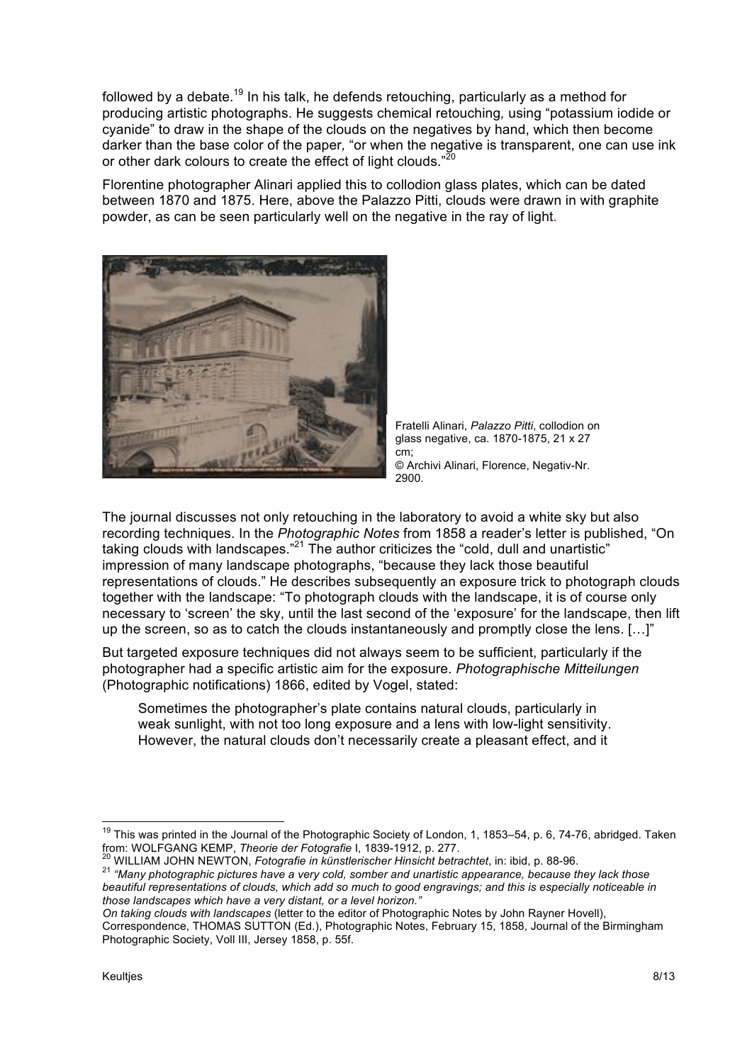followed by a debate.<sup>19</sup> In his talk, he defends retouching, particularly as a method for producing artistic photographs. He suggests chemical retouching*,* using "potassium iodide or cyanide" to draw in the shape of the clouds on the negatives by hand, which then become darker than the base color of the paper*,* "or when the negative is transparent, one can use ink or other dark colours to create the effect of light clouds." $^{20}$ 

Florentine photographer Alinari applied this to collodion glass plates, which can be dated between 1870 and 1875. Here, above the Palazzo Pitti, clouds were drawn in with graphite powder, as can be seen particularly well on the negative in the ray of light.



Fratelli Alinari, *Palazzo Pitti*, collodion on glass negative, ca. 1870-1875, 21 x 27 cm; © Archivi Alinari, Florence, Negativ-Nr. 2900.

The journal discusses not only retouching in the laboratory to avoid a white sky but also recording techniques. In the *Photographic Notes* from 1858 a reader's letter is published, "On taking clouds with landscapes."21 The author criticizes the "cold, dull and unartistic" impression of many landscape photographs, "because they lack those beautiful representations of clouds." He describes subsequently an exposure trick to photograph clouds together with the landscape: "To photograph clouds with the landscape, it is of course only necessary to 'screen' the sky, until the last second of the 'exposure' for the landscape, then lift up the screen, so as to catch the clouds instantaneously and promptly close the lens. [...]"

But targeted exposure techniques did not always seem to be sufficient, particularly if the photographer had a specific artistic aim for the exposure. *Photographische Mitteilungen*  (Photographic notifications) 1866, edited by Vogel, stated:

Sometimes the photographer's plate contains natural clouds, particularly in weak sunlight, with not too long exposure and a lens with low-light sensitivity. However, the natural clouds don't necessarily create a pleasant effect, and it

<sup>20</sup> WILLIAM JOHN NEWTON, *Fotografie in künstlerischer Hinsicht betrachtet*, in: ibid, p. 88-96.<br><sup>21</sup> "Many photographic pictures have a very cold, somber and unartistic appearance, because they lack those *beautiful representations of clouds, which add so much to good engravings; and this is especially noticeable in those landscapes which have a very distant, or a level horizon."*

*On taking clouds with landscapes* (letter to the editor of Photographic Notes by John Rayner Hovell), Correspondence, THOMAS SUTTON (Ed.), Photographic Notes, February 15, 1858, Journal of the Birmingham Photographic Society, Voll III, Jersey 1858, p. 55f.

<sup>&</sup>lt;sup>19</sup> This was printed in the Journal of the Photographic Society of London, 1, 1853–54, p. 6, 74-76, abridged. Taken<br>from: WOLFGANG KEMP, *Theorie der Fotografie* I, 1839-1912, p. 277.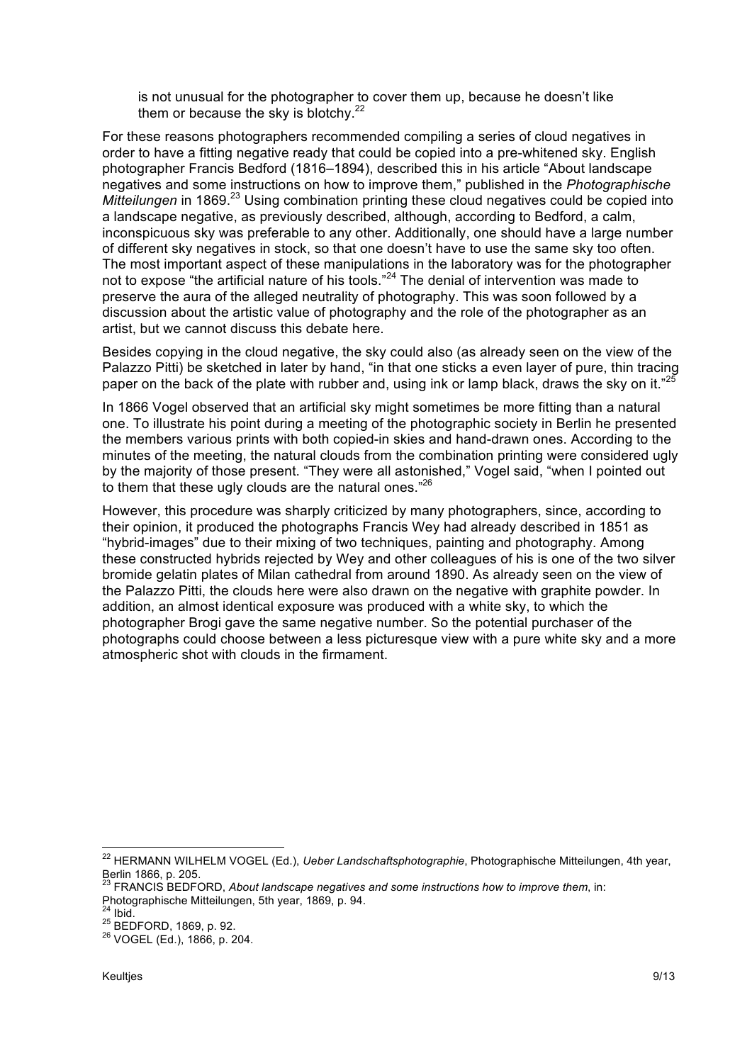is not unusual for the photographer to cover them up, because he doesn't like them or because the sky is blotchy. $22$ 

For these reasons photographers recommended compiling a series of cloud negatives in order to have a fitting negative ready that could be copied into a pre-whitened sky. English photographer Francis Bedford (1816–1894), described this in his article "About landscape negatives and some instructions on how to improve them," published in the *Photographische Mitteilungen* in 1869.<sup>23</sup> Using combination printing these cloud negatives could be copied into a landscape negative, as previously described, although, according to Bedford, a calm, inconspicuous sky was preferable to any other. Additionally, one should have a large number of different sky negatives in stock, so that one doesn't have to use the same sky too often. The most important aspect of these manipulations in the laboratory was for the photographer not to expose "the artificial nature of his tools."<sup>24</sup> The denial of intervention was made to preserve the aura of the alleged neutrality of photography. This was soon followed by a discussion about the artistic value of photography and the role of the photographer as an artist, but we cannot discuss this debate here.

Besides copying in the cloud negative, the sky could also (as already seen on the view of the Palazzo Pitti) be sketched in later by hand, "in that one sticks a even layer of pure, thin tracing paper on the back of the plate with rubber and, using ink or lamp black, draws the sky on it."<sup>25</sup>

In 1866 Vogel observed that an artificial sky might sometimes be more fitting than a natural one. To illustrate his point during a meeting of the photographic society in Berlin he presented the members various prints with both copied-in skies and hand-drawn ones. According to the minutes of the meeting, the natural clouds from the combination printing were considered ugly by the majority of those present. "They were all astonished," Vogel said, "when I pointed out to them that these ugly clouds are the natural ones."<sup>26</sup>

However, this procedure was sharply criticized by many photographers, since, according to their opinion, it produced the photographs Francis Wey had already described in 1851 as "hybrid-images" due to their mixing of two techniques, painting and photography. Among these constructed hybrids rejected by Wey and other colleagues of his is one of the two silver bromide gelatin plates of Milan cathedral from around 1890. As already seen on the view of the Palazzo Pitti, the clouds here were also drawn on the negative with graphite powder. In addition, an almost identical exposure was produced with a white sky, to which the photographer Brogi gave the same negative number. So the potential purchaser of the photographs could choose between a less picturesque view with a pure white sky and a more atmospheric shot with clouds in the firmament.

<sup>22</sup> HERMANN WILHELM VOGEL (Ed.), *Ueber Landschaftsphotographie*, Photographische Mitteilungen, 4th year, Berlin 1866, p. 205.

<sup>23</sup> FRANCIS BEDFORD, *About landscape negatives and some instructions how to improve them*, in: Photographische Mitteilungen, 5th year, 1869, p. 94.<br><sup>24</sup> Ibid.

<sup>25</sup> BEDFORD, 1869, p. 92.<br><sup>26</sup> VOGEL (Ed.), 1866, p. 204.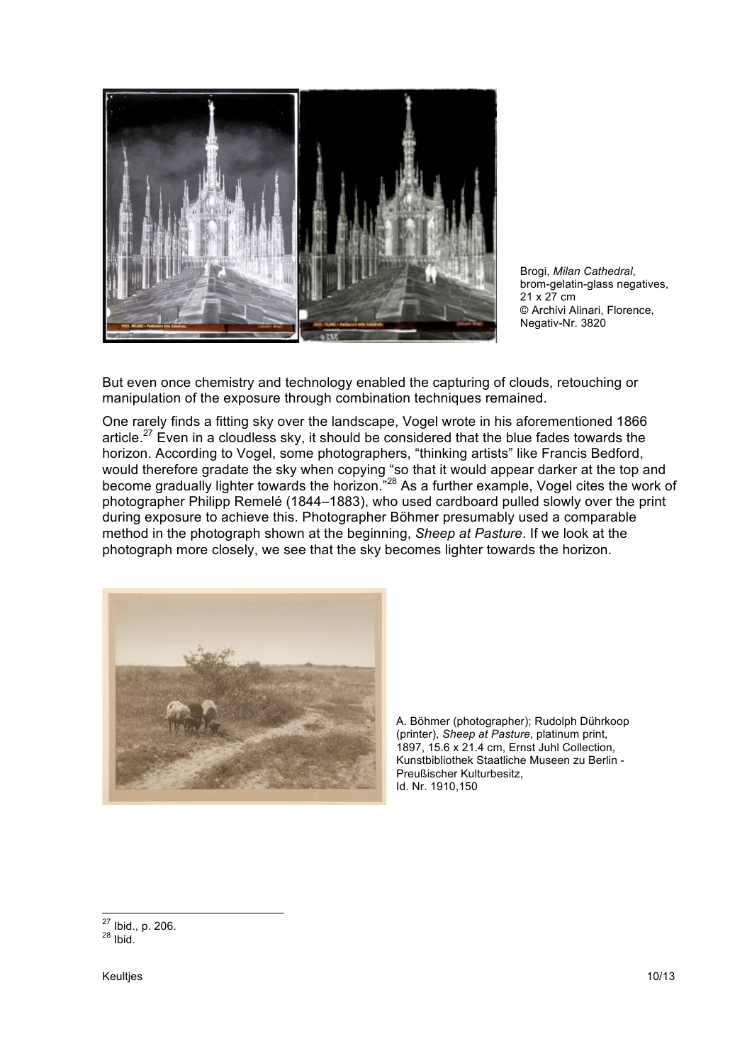

Brogi, *Milan Cathedral*, brom-gelatin-glass negatives, 21 x 27 cm © Archivi Alinari, Florence, Negativ-Nr. 3820

But even once chemistry and technology enabled the capturing of clouds, retouching or manipulation of the exposure through combination techniques remained.

One rarely finds a fitting sky over the landscape, Vogel wrote in his aforementioned 1866 article.<sup>27</sup> Even in a cloudless sky, it should be considered that the blue fades towards the horizon. According to Vogel, some photographers, "thinking artists" like Francis Bedford, would therefore gradate the sky when copying "so that it would appear darker at the top and become gradually lighter towards the horizon.<sup>"28</sup> As a further example, Vogel cites the work of photographer Philipp Remelé (1844–1883), who used cardboard pulled slowly over the print during exposure to achieve this. Photographer Böhmer presumably used a comparable method in the photograph shown at the beginning, *Sheep at Pasture*. If we look at the photograph more closely, we see that the sky becomes lighter towards the horizon.



A. Böhmer (photographer); Rudolph Dührkoop (printer), *Sheep at Pasture*, platinum print, 1897, 15.6 x 21.4 cm, Ernst Juhl Collection, Kunstbibliothek Staatliche Museen zu Berlin - Preußischer Kulturbesitz, Id. Nr. 1910,150

 $^{27}$  Ibid., p. 206.<br> $^{28}$  Ibid.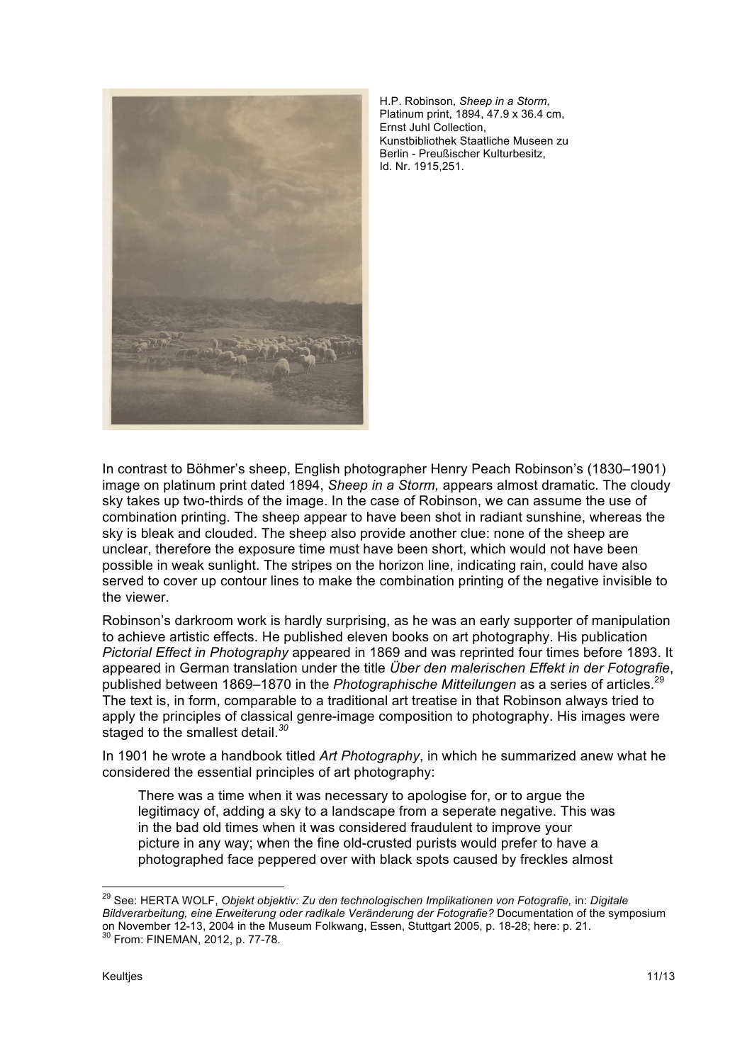

H.P. Robinson, *Sheep in a Storm,*  Platinum print, 1894, 47.9 x 36.4 cm, Ernst Juhl Collection, Kunstbibliothek Staatliche Museen zu Berlin - Preußischer Kulturbesitz, Id. Nr. 1915,251.

In contrast to Böhmer's sheep, English photographer Henry Peach Robinson's (1830–1901) image on platinum print dated 1894, *Sheep in a Storm,* appears almost dramatic. The cloudy sky takes up two-thirds of the image. In the case of Robinson, we can assume the use of combination printing. The sheep appear to have been shot in radiant sunshine, whereas the sky is bleak and clouded. The sheep also provide another clue: none of the sheep are unclear, therefore the exposure time must have been short, which would not have been possible in weak sunlight. The stripes on the horizon line, indicating rain, could have also served to cover up contour lines to make the combination printing of the negative invisible to the viewer.

Robinson's darkroom work is hardly surprising, as he was an early supporter of manipulation to achieve artistic effects. He published eleven books on art photography. His publication *Pictorial Effect in Photography* appeared in 1869 and was reprinted four times before 1893. It appeared in German translation under the title *Über den malerischen Effekt in der Fotografie*, published between 1869–1870 in the *Photographische Mitteilungen* as a series of articles.<sup>29</sup> The text is, in form, comparable to a traditional art treatise in that Robinson always tried to apply the principles of classical genre-image composition to photography. His images were staged to the smallest detail.*<sup>30</sup>*

In 1901 he wrote a handbook titled *Art Photography*, in which he summarized anew what he considered the essential principles of art photography:

There was a time when it was necessary to apologise for, or to argue the legitimacy of, adding a sky to a landscape from a seperate negative. This was in the bad old times when it was considered fraudulent to improve your picture in any way; when the fine old-crusted purists would prefer to have a photographed face peppered over with black spots caused by freckles almost

<sup>29</sup> See: HERTA WOLF, *Objekt objektiv: Zu den technologischen Implikationen von Fotografie,* in: *Digitale Bildverarbeitung, eine Erweiterung oder radikale Veränderung der Fotografie?* Documentation of the symposium on November 12-13, 2004 in the Museum Folkwang, Essen, Stuttgart 2005, p. 18-28; here: p. 21.<br><sup>30</sup> From: FINEMAN, 2012, p. 77-78.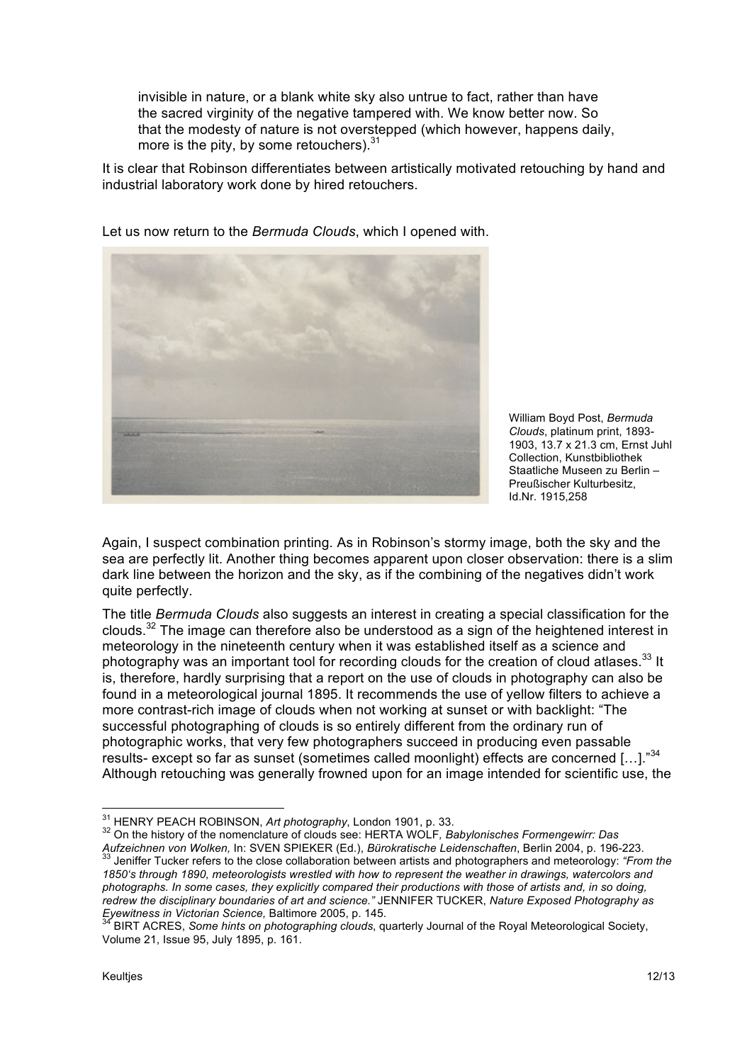invisible in nature, or a blank white sky also untrue to fact, rather than have the sacred virginity of the negative tampered with. We know better now. So that the modesty of nature is not overstepped (which however, happens daily, more is the pity, by some retouchers). $31$ 

It is clear that Robinson differentiates between artistically motivated retouching by hand and industrial laboratory work done by hired retouchers.



Let us now return to the *Bermuda Clouds*, which I opened with.

William Boyd Post, *Bermuda Clouds*, platinum print, 1893- 1903, 13.7 x 21.3 cm, Ernst Juhl Collection, Kunstbibliothek Staatliche Museen zu Berlin – Preußischer Kulturbesitz, Id.Nr. 1915,258

Again, I suspect combination printing. As in Robinson's stormy image, both the sky and the sea are perfectly lit. Another thing becomes apparent upon closer observation: there is a slim dark line between the horizon and the sky, as if the combining of the negatives didn't work quite perfectly.

The title *Bermuda Clouds* also suggests an interest in creating a special classification for the clouds.<sup>32</sup> The image can therefore also be understood as a sign of the heightened interest in meteorology in the nineteenth century when it was established itself as a science and photography was an important tool for recording clouds for the creation of cloud atlases.<sup>33</sup> It is, therefore, hardly surprising that a report on the use of clouds in photography can also be found in a meteorological journal 1895. It recommends the use of yellow filters to achieve a more contrast-rich image of clouds when not working at sunset or with backlight: "The successful photographing of clouds is so entirely different from the ordinary run of photographic works, that very few photographers succeed in producing even passable results- except so far as sunset (sometimes called moonlight) effects are concerned [...]."34 Although retouching was generally frowned upon for an image intended for scientific use, the

<sup>31</sup> HENRY PEACH ROBINSON, *Art photography*, London 1901, p. 33.<br><sup>32</sup> On the history of the nomenclature of clouds see: HERTA WOLF*, Babylonisches Formengewirr: Das* Aufzeichnen von Wolken, In: SVEN SPIEKER (Ed.), Bürokratische Leidenschaften, Berlin 2004, p. 196-223.<br><sup>33</sup> Jeniffer Tucker refers to the close collaboration between artists and photographers and meteorology: "From the *1850's through 1890, meteorologists wrestled with how to represent the weather in drawings, watercolors and photographs. In some cases, they explicitly compared their productions with those of artists and, in so doing, redrew the disciplinary boundaries of art and science."* JENNIFER TUCKER, *Nature Exposed Photography as Eyewitness in Victorian Science, Baltimore 2005, p. 145.*<br><sup>34</sup> BIRT ACRES, Some birth an abstractive and the state

*Eyewitness in Victorian Science,* Baltimore 2005, p. 145. <sup>34</sup> BIRT ACRES, *Some hints on photographing clouds*, quarterly Journal of the Royal Meteorological Society, Volume 21, Issue 95, July 1895, p. 161.